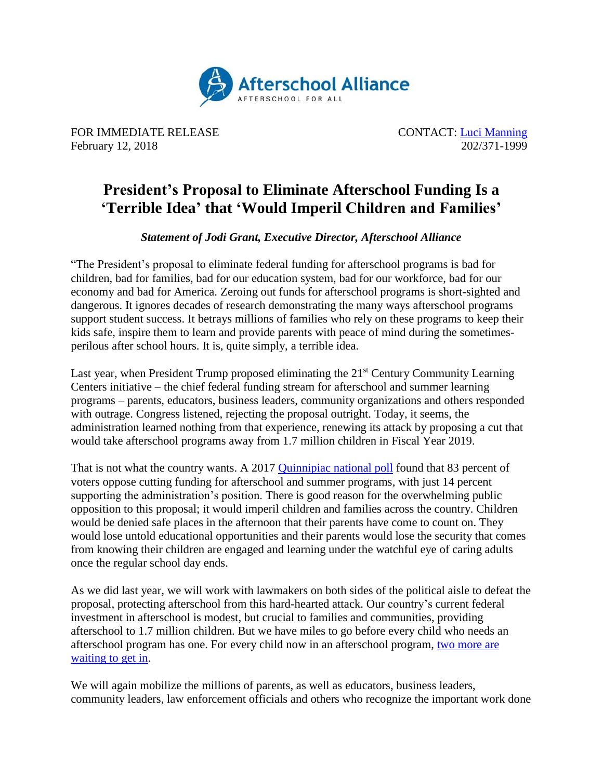

FOR IMMEDIATE RELEASE CONTACT: [Luci Manning](mailto:luci@prsolutionsdc.com) February 12, 2018 202/371-1999

## **President's Proposal to Eliminate Afterschool Funding Is a 'Terrible Idea' that 'Would Imperil Children and Families'**

## *Statement of Jodi Grant, Executive Director, Afterschool Alliance*

"The President's proposal to eliminate federal funding for afterschool programs is bad for children, bad for families, bad for our education system, bad for our workforce, bad for our economy and bad for America. Zeroing out funds for afterschool programs is short-sighted and dangerous. It ignores decades of research demonstrating the many ways afterschool programs support student success. It betrays millions of families who rely on these programs to keep their kids safe, inspire them to learn and provide parents with peace of mind during the sometimesperilous after school hours. It is, quite simply, a terrible idea.

Last year, when President Trump proposed eliminating the 21<sup>st</sup> Century Community Learning Centers initiative – the chief federal funding stream for afterschool and summer learning programs – parents, educators, business leaders, community organizations and others responded with outrage. Congress listened, rejecting the proposal outright. Today, it seems, the administration learned nothing from that experience, renewing its attack by proposing a cut that would take afterschool programs away from 1.7 million children in Fiscal Year 2019.

That is not what the country wants. A 2017 [Quinnipiac national poll](https://poll.qu.edu/national/release-detail?ReleaseID=2444) found that 83 percent of voters oppose cutting funding for afterschool and summer programs, with just 14 percent supporting the administration's position. There is good reason for the overwhelming public opposition to this proposal; it would imperil children and families across the country. Children would be denied safe places in the afternoon that their parents have come to count on. They would lose untold educational opportunities and their parents would lose the security that comes from knowing their children are engaged and learning under the watchful eye of caring adults once the regular school day ends.

As we did last year, we will work with lawmakers on both sides of the political aisle to defeat the proposal, protecting afterschool from this hard-hearted attack. Our country's current federal investment in afterschool is modest, but crucial to families and communities, providing afterschool to 1.7 million children. But we have miles to go before every child who needs an afterschool program has one. For every child now in an afterschool program, [two more are](http://www.afterschoolalliance.org/documents/AA3PM-2014/National-AA3PM-2014-Fact-Sheet.pdf)  [waiting to get in.](http://www.afterschoolalliance.org/documents/AA3PM-2014/National-AA3PM-2014-Fact-Sheet.pdf)

We will again mobilize the millions of parents, as well as educators, business leaders, community leaders, law enforcement officials and others who recognize the important work done